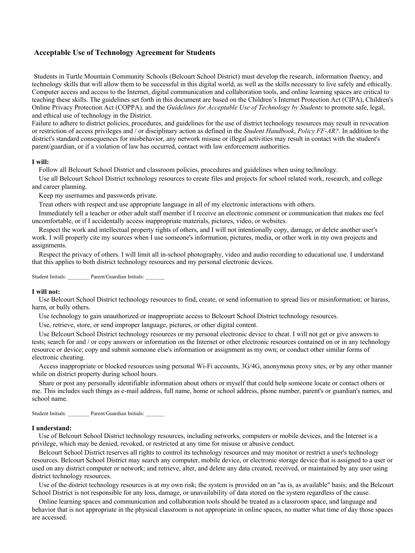# **Acceptable Use of Technology Agreement for Students**

Students in Turtle Mountain Community Schools (Belcourt School District) must develop the research, information fluency, and technology skills that will allow them to be successful in this digital world, as well as the skills necessary to live safely and ethically. Computer access and access to the Internet, digital communication and collaboration tools, and online learning spaces are critical to teaching these skills. The guidelines set forth in this document are based on the Children's Internet Protection Act (CIPA), Children's Online Privacy Protection Act (COPPA)*,* and the *Guidelines for Acceptable Use of Technology by Students* to promote safe, legal, and ethical use of technology in the District.

Failure to adhere to district policies, procedures, and guidelines for the use of district technology resources may result in revocation or restriction of access privileges and / or disciplinary action as defined in the *Student Handbook*, *Policy FF-AR?*. In addition to the district's standard consequences for misbehavior, any network misuse or illegal activities may result in contact with the student's parent/guardian, or if a violation of law has occurred, contact with law enforcement authorities.

### **I will:**

Follow all Belcourt School District and classroom policies, procedures and guidelines when using technology.

 Use all Belcourt School District technology resources to create files and projects for school related work, research, and college and career planning.

Keep my usernames and passwords private.

Treat others with respect and use appropriate language in all of my electronic interactions with others.

 Immediately tell a teacher or other adult staff member if I receive an electronic comment or communication that makes me feel uncomfortable, or if I accidentally access inappropriate materials, pictures, video, or websites.

 Respect the work and intellectual property rights of others, and I will not intentionally copy, damage, or delete another user's work. I will properly cite my sources when I use someone's information, pictures, media, or other work in my own projects and assignments.

 Respect the privacy of others. I will limit all in-school photography, video and audio recording to educational use. I understand that this applies to both district technology resources and my personal electronic devices.

Student Initials: Parent/Guardian Initials:

#### **I will not:**

 Use Belcourt School District technology resources to find, create, or send information to spread lies or misinformation; or harass, harm, or bully others.

Use technology to gain unauthorized or inappropriate access to Belcourt School District technology resources.

Use, retrieve, store, or send improper language, pictures, or other digital content.

 Use Belcourt School District technology resources or my personal electronic device to cheat. I will not get or give answers to tests; search for and / or copy answers or information on the Internet or other electronic resources contained on or in any technology resource or device; copy and submit someone else's information or assignment as my own; or conduct other similar forms of electronic cheating.

 Access inappropriate or blocked resources using personal Wi-Fi accounts, 3G/4G, anonymous proxy sites, or by any other manner while on district property during school hours.

 Share or post any personally identifiable information about others or myself that could help someone locate or contact others or me. This includes such things as e-mail address, full name, home or school address, phone number, parent's or guardian's names, and school name.

Student Initials: Parent/Guardian Initials:

#### **I understand:**

 Use of Belcourt School District technology resources, including networks, computers or mobile devices, and the Internet is a privilege, which may be denied, revoked, or restricted at any time for misuse or abusive conduct.

 Belcourt School District reserves all rights to control its technology resources and may monitor or restrict a user's technology resources. Belcourt School District may search any computer, mobile device, or electronic storage device that is assigned to a user or used on any district computer or network; and retrieve, alter, and delete any data created, received, or maintained by any user using district technology resources.

 Use of the district technology resources is at my own risk; the system is provided on an "as is, as available" basis; and the Belcourt School District is not responsible for any loss, damage, or unavailability of data stored on the system regardless of the cause.

 Online learning spaces and communication and collaboration tools should be treated as a classroom space, and language and behavior that is not appropriate in the physical classroom is not appropriate in online spaces, no matter what time of day those spaces are accessed.